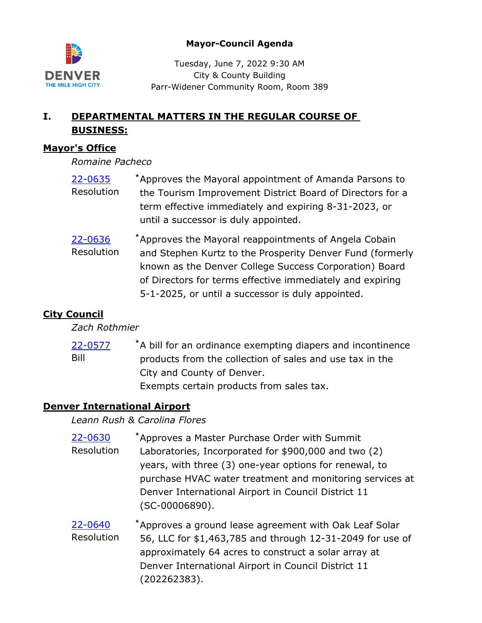

## **Mayor-Council Agenda**

Tuesday, June 7, 2022 9:30 AM City & County Building Parr-Widener Community Room, Room 389

# **I. DEPARTMENTAL MATTERS IN THE REGULAR COURSE OF BUSINESS:**

## **Mayor's Office**

*Romaine Pacheco*

- Approves the Mayoral appointment of Amanda Parsons to the Tourism Improvement District Board of Directors for a term effective immediately and expiring 8-31-2023, or until a successor is duly appointed. [22-0635](http://denver.legistar.com/gateway.aspx?m=l&id=/matter.aspx?key=21702) **\*** Resolution
- Approves the Mayoral reappointments of Angela Cobain and Stephen Kurtz to the Prosperity Denver Fund (formerly known as the Denver College Success Corporation) Board of Directors for terms effective immediately and expiring 5-1-2025, or until a successor is duly appointed. [22-0636](http://denver.legistar.com/gateway.aspx?m=l&id=/matter.aspx?key=21703) **\*** Resolution

# **City Council**

*Zach Rothmier*

A bill for an ordinance exempting diapers and incontinence products from the collection of sales and use tax in the City and County of Denver. Exempts certain products from sales tax. [22-0577](http://denver.legistar.com/gateway.aspx?m=l&id=/matter.aspx?key=21644) **\*** Bill

## **Denver International Airport**

*Leann Rush & Carolina Flores*

- Approves a Master Purchase Order with Summit Laboratories, Incorporated for \$900,000 and two (2) years, with three (3) one-year options for renewal, to purchase HVAC water treatment and monitoring services at Denver International Airport in Council District 11 (SC-00006890). [22-0630](http://denver.legistar.com/gateway.aspx?m=l&id=/matter.aspx?key=21697) **\*** Resolution
- Approves a ground lease agreement with Oak Leaf Solar 56, LLC for \$1,463,785 and through 12-31-2049 for use of approximately 64 acres to construct a solar array at Denver International Airport in Council District 11 (202262383). [22-0640](http://denver.legistar.com/gateway.aspx?m=l&id=/matter.aspx?key=21707) **\*** Resolution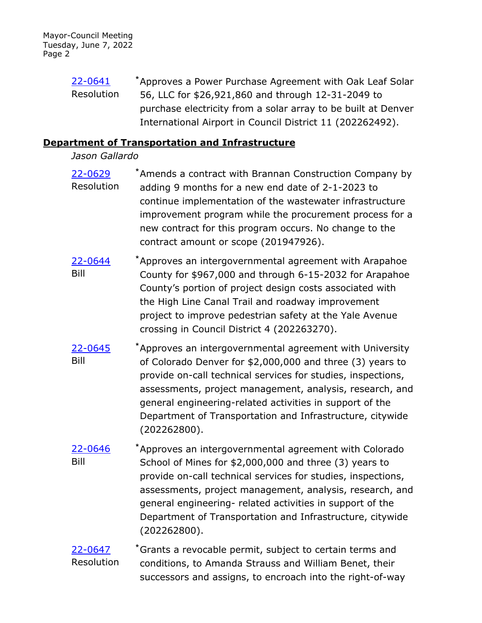Approves a Power Purchase Agreement with Oak Leaf Solar 56, LLC for \$26,921,860 and through 12-31-2049 to purchase electricity from a solar array to be built at Denver International Airport in Council District 11 (202262492). [22-0641](http://denver.legistar.com/gateway.aspx?m=l&id=/matter.aspx?key=21708) **\*** Resolution

### **Department of Transportation and Infrastructure**

## *Jason Gallardo*

- Amends a contract with Brannan Construction Company by adding 9 months for a new end date of 2-1-2023 to continue implementation of the wastewater infrastructure improvement program while the procurement process for a new contract for this program occurs. No change to the contract amount or scope (201947926). [22-0629](http://denver.legistar.com/gateway.aspx?m=l&id=/matter.aspx?key=21696) **\*** Resolution
- Approves an intergovernmental agreement with Arapahoe County for \$967,000 and through 6-15-2032 for Arapahoe County's portion of project design costs associated with the High Line Canal Trail and roadway improvement project to improve pedestrian safety at the Yale Avenue crossing in Council District 4 (202263270). [22-0644](http://denver.legistar.com/gateway.aspx?m=l&id=/matter.aspx?key=21711) **\*** Bill
- Approves an intergovernmental agreement with University of Colorado Denver for \$2,000,000 and three (3) years to provide on-call technical services for studies, inspections, assessments, project management, analysis, research, and general engineering-related activities in support of the Department of Transportation and Infrastructure, citywide (202262800). [22-0645](http://denver.legistar.com/gateway.aspx?m=l&id=/matter.aspx?key=21712) **\*** Bill
- Approves an intergovernmental agreement with Colorado School of Mines for \$2,000,000 and three (3) years to provide on-call technical services for studies, inspections, assessments, project management, analysis, research, and general engineering- related activities in support of the Department of Transportation and Infrastructure, citywide (202262800). [22-0646](http://denver.legistar.com/gateway.aspx?m=l&id=/matter.aspx?key=21713) **\*** Bill
- Grants a revocable permit, subject to certain terms and conditions, to Amanda Strauss and William Benet, their successors and assigns, to encroach into the right-of-way [22-0647](http://denver.legistar.com/gateway.aspx?m=l&id=/matter.aspx?key=21714) **\*** Resolution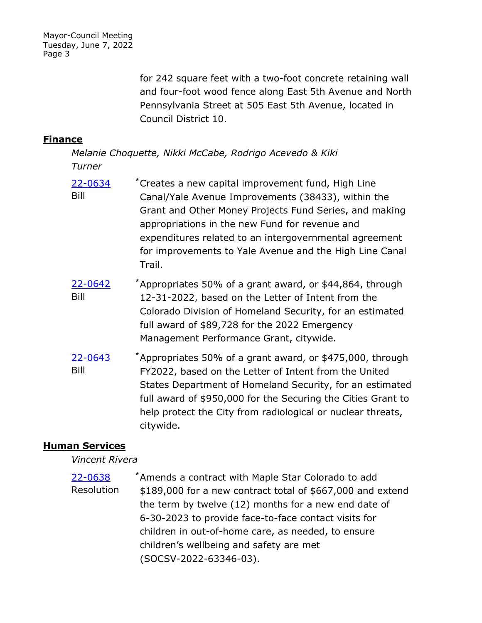Mayor-Council Meeting Tuesday, June 7, 2022 Page 3

> for 242 square feet with a two-foot concrete retaining wall and four-foot wood fence along East 5th Avenue and North Pennsylvania Street at 505 East 5th Avenue, located in Council District 10.

### **Finance**

*Melanie Choquette, Nikki McCabe, Rodrigo Acevedo & Kiki Turner*

- Creates a new capital improvement fund, High Line Canal/Yale Avenue Improvements (38433), within the Grant and Other Money Projects Fund Series, and making appropriations in the new Fund for revenue and expenditures related to an intergovernmental agreement for improvements to Yale Avenue and the High Line Canal Trail. [22-0634](http://denver.legistar.com/gateway.aspx?m=l&id=/matter.aspx?key=21701) **\*** Bill
- Appropriates 50% of a grant award, or \$44,864, through 12-31-2022, based on the Letter of Intent from the Colorado Division of Homeland Security, for an estimated full award of \$89,728 for the 2022 Emergency Management Performance Grant, citywide. [22-0642](http://denver.legistar.com/gateway.aspx?m=l&id=/matter.aspx?key=21709) **\*** Bill
- Appropriates 50% of a grant award, or \$475,000, through FY2022, based on the Letter of Intent from the United States Department of Homeland Security, for an estimated full award of \$950,000 for the Securing the Cities Grant to help protect the City from radiological or nuclear threats, citywide. [22-0643](http://denver.legistar.com/gateway.aspx?m=l&id=/matter.aspx?key=21710) **\*** Bill

## **Human Services**

#### *Vincent Rivera*

Amends a contract with Maple Star Colorado to add \$189,000 for a new contract total of \$667,000 and extend the term by twelve (12) months for a new end date of 6-30-2023 to provide face-to-face contact visits for children in out-of-home care, as needed, to ensure children's wellbeing and safety are met (SOCSV-2022-63346-03). [22-0638](http://denver.legistar.com/gateway.aspx?m=l&id=/matter.aspx?key=21705) **\*** Resolution